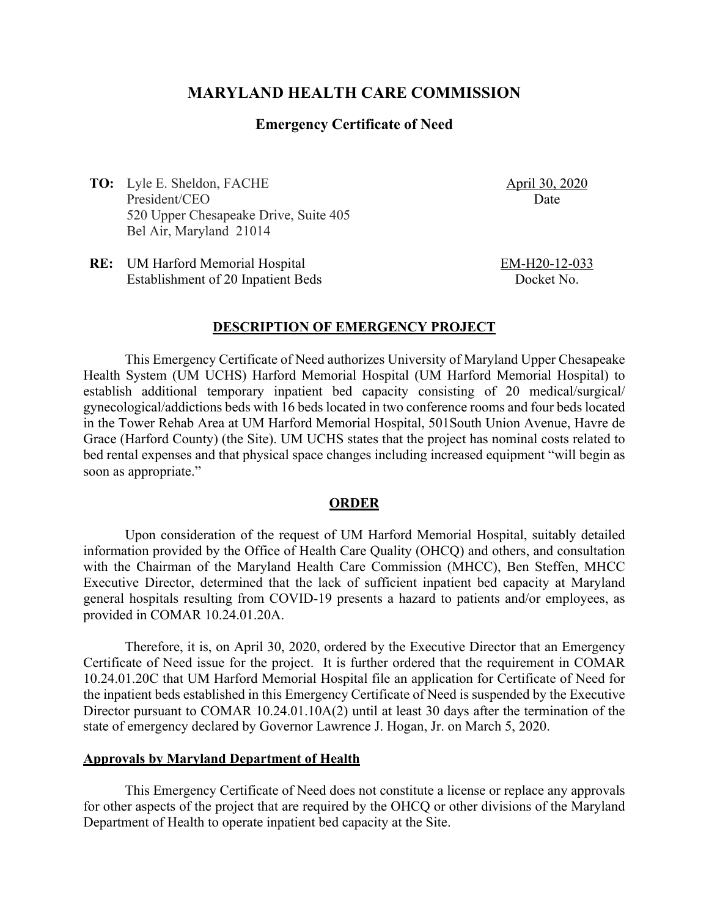# **MARYLAND HEALTH CARE COMMISSION**

## **Emergency Certificate of Need**

**TO:** Lyle E. Sheldon, FACHE President/CEO 520 Upper Chesapeake Drive, Suite 405 Bel Air, Maryland 21014

April 30, 2020 Date

**RE:** UM Harford Memorial Hospital Establishment of 20 Inpatient Beds EM-H20-12-033 Docket No.

### **DESCRIPTION OF EMERGENCY PROJECT**

This Emergency Certificate of Need authorizes University of Maryland Upper Chesapeake Health System (UM UCHS) Harford Memorial Hospital (UM Harford Memorial Hospital) to establish additional temporary inpatient bed capacity consisting of 20 medical/surgical/ gynecological/addictions beds with 16 beds located in two conference rooms and four beds located in the Tower Rehab Area at UM Harford Memorial Hospital, 501South Union Avenue, Havre de Grace (Harford County) (the Site). UM UCHS states that the project has nominal costs related to bed rental expenses and that physical space changes including increased equipment "will begin as soon as appropriate."

## **ORDER**

Upon consideration of the request of UM Harford Memorial Hospital, suitably detailed information provided by the Office of Health Care Quality (OHCQ) and others, and consultation with the Chairman of the Maryland Health Care Commission (MHCC), Ben Steffen, MHCC Executive Director, determined that the lack of sufficient inpatient bed capacity at Maryland general hospitals resulting from COVID-19 presents a hazard to patients and/or employees, as provided in COMAR 10.24.01.20A.

Therefore, it is, on April 30, 2020, ordered by the Executive Director that an Emergency Certificate of Need issue for the project. It is further ordered that the requirement in COMAR 10.24.01.20C that UM Harford Memorial Hospital file an application for Certificate of Need for the inpatient beds established in this Emergency Certificate of Need is suspended by the Executive Director pursuant to COMAR 10.24.01.10A(2) until at least 30 days after the termination of the state of emergency declared by Governor Lawrence J. Hogan, Jr. on March 5, 2020.

### **Approvals by Maryland Department of Health**

This Emergency Certificate of Need does not constitute a license or replace any approvals for other aspects of the project that are required by the OHCQ or other divisions of the Maryland Department of Health to operate inpatient bed capacity at the Site.